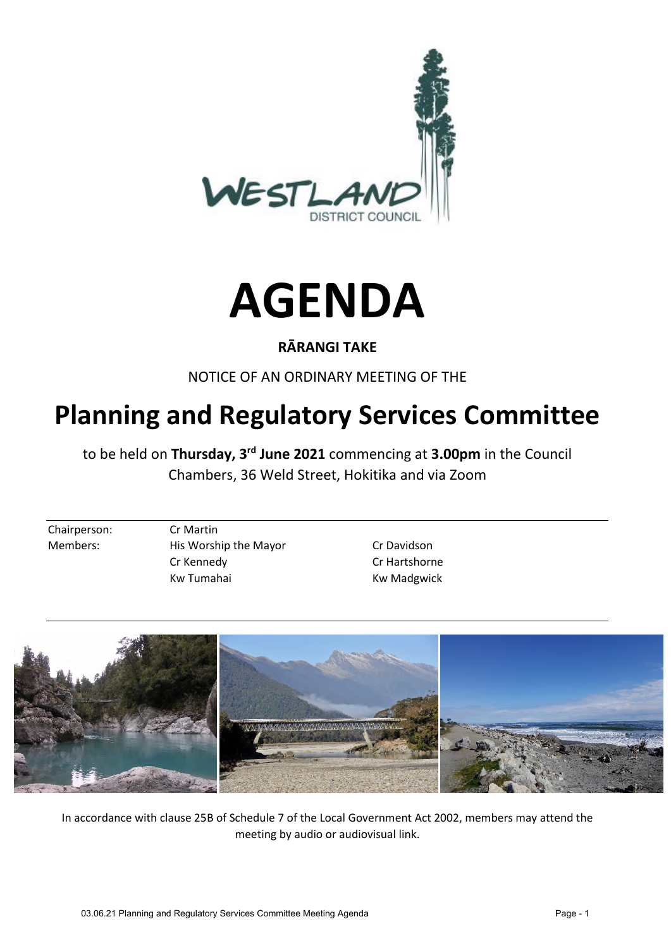



# **RĀRANGI TAKE**

NOTICE OF AN ORDINARY MEETING OF THE

# **Planning and Regulatory Services Committee**

to be held on **Thursday, 3rd June 2021** commencing at **3.00pm** in the Council Chambers, 36 Weld Street, Hokitika and via Zoom

Chairperson: Cr Martin

Members: His Worship the Mayor Cr Davidson Cr Kennedy Cr Hartshorne Kw Tumahai Kw Madgwick



In accordance with clause 25B of Schedule 7 of the Local Government Act 2002, members may attend the meeting by audio or audiovisual link.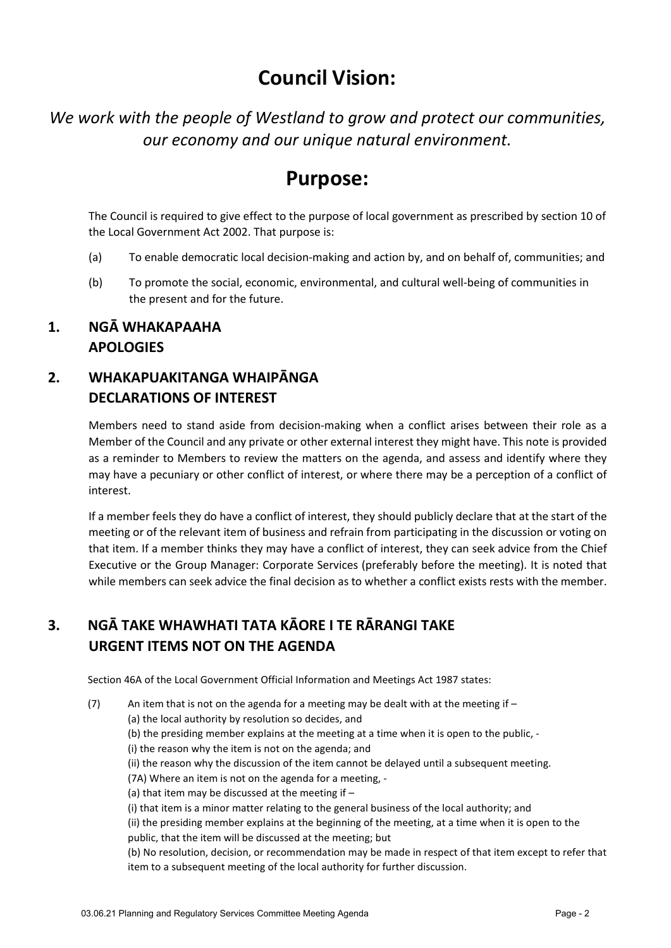# **Council Vision:**

*We work with the people of Westland to grow and protect our communities, our economy and our unique natural environment.* 

# **Purpose:**

The Council is required to give effect to the purpose of local government as prescribed by section 10 of the Local Government Act 2002. That purpose is:

- (a) To enable democratic local decision-making and action by, and on behalf of, communities; and
- (b) To promote the social, economic, environmental, and cultural well-being of communities in the present and for the future.

## **1. NGĀ WHAKAPAAHA APOLOGIES**

# **2. WHAKAPUAKITANGA WHAIPĀNGA DECLARATIONS OF INTEREST**

Members need to stand aside from decision-making when a conflict arises between their role as a Member of the Council and any private or other external interest they might have. This note is provided as a reminder to Members to review the matters on the agenda, and assess and identify where they may have a pecuniary or other conflict of interest, or where there may be a perception of a conflict of interest.

If a member feels they do have a conflict of interest, they should publicly declare that at the start of the meeting or of the relevant item of business and refrain from participating in the discussion or voting on that item. If a member thinks they may have a conflict of interest, they can seek advice from the Chief Executive or the Group Manager: Corporate Services (preferably before the meeting). It is noted that while members can seek advice the final decision as to whether a conflict exists rests with the member.

# **3. NGĀ TAKE WHAWHATI TATA KĀORE I TE RĀRANGI TAKE URGENT ITEMS NOT ON THE AGENDA**

Section 46A of the Local Government Official Information and Meetings Act 1987 states:

(7) An item that is not on the agenda for a meeting may be dealt with at the meeting if  $-$ 

(a) the local authority by resolution so decides, and

- (b) the presiding member explains at the meeting at a time when it is open to the public, -
- (i) the reason why the item is not on the agenda; and
	- (ii) the reason why the discussion of the item cannot be delayed until a subsequent meeting.

(7A) Where an item is not on the agenda for a meeting, -

(a) that item may be discussed at the meeting if  $-$ 

(i) that item is a minor matter relating to the general business of the local authority; and

(ii) the presiding member explains at the beginning of the meeting, at a time when it is open to the public, that the item will be discussed at the meeting; but

(b) No resolution, decision, or recommendation may be made in respect of that item except to refer that item to a subsequent meeting of the local authority for further discussion.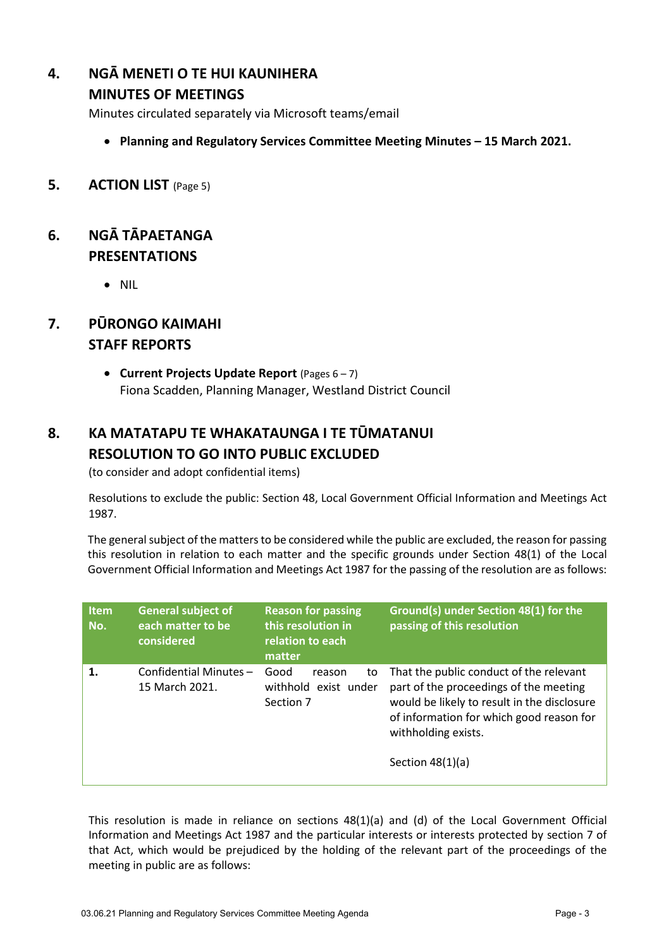# **4. NGĀ MENETI O TE HUI KAUNIHERA**

### **MINUTES OF MEETINGS**

Minutes circulated separately via Microsoft teams/email

- **Planning and Regulatory Services Committee Meeting Minutes 15 March 2021.**
- **5. ACTION LIST** (Page 5)

## **6. NGĀ TĀPAETANGA PRESENTATIONS**

• NIL

# **7. PŪRONGO KAIMAHI STAFF REPORTS**

 **Current Projects Update Report** (Pages 6 – 7) Fiona Scadden, Planning Manager, Westland District Council

# **8. KA MATATAPU TE WHAKATAUNGA I TE TŪMATANUI RESOLUTION TO GO INTO PUBLIC EXCLUDED**

(to consider and adopt confidential items)

Resolutions to exclude the public: Section 48, Local Government Official Information and Meetings Act 1987.

The general subject of the matters to be considered while the public are excluded, the reason for passing this resolution in relation to each matter and the specific grounds under Section 48(1) of the Local Government Official Information and Meetings Act 1987 for the passing of the resolution are as follows:

| Item<br>No. | <b>General subject of</b><br>each matter to be<br>considered | <b>Reason for passing</b><br>this resolution in<br>relation to each<br>matter | Ground(s) under Section 48(1) for the<br>passing of this resolution                                                                                                                                                       |
|-------------|--------------------------------------------------------------|-------------------------------------------------------------------------------|---------------------------------------------------------------------------------------------------------------------------------------------------------------------------------------------------------------------------|
| 1.          | Confidential Minutes-<br>15 March 2021.                      | Good<br>to<br>reason<br>withhold exist under<br>Section 7                     | That the public conduct of the relevant<br>part of the proceedings of the meeting<br>would be likely to result in the disclosure<br>of information for which good reason for<br>withholding exists.<br>Section $48(1)(a)$ |

This resolution is made in reliance on sections 48(1)(a) and (d) of the Local Government Official Information and Meetings Act 1987 and the particular interests or interests protected by section 7 of that Act, which would be prejudiced by the holding of the relevant part of the proceedings of the meeting in public are as follows: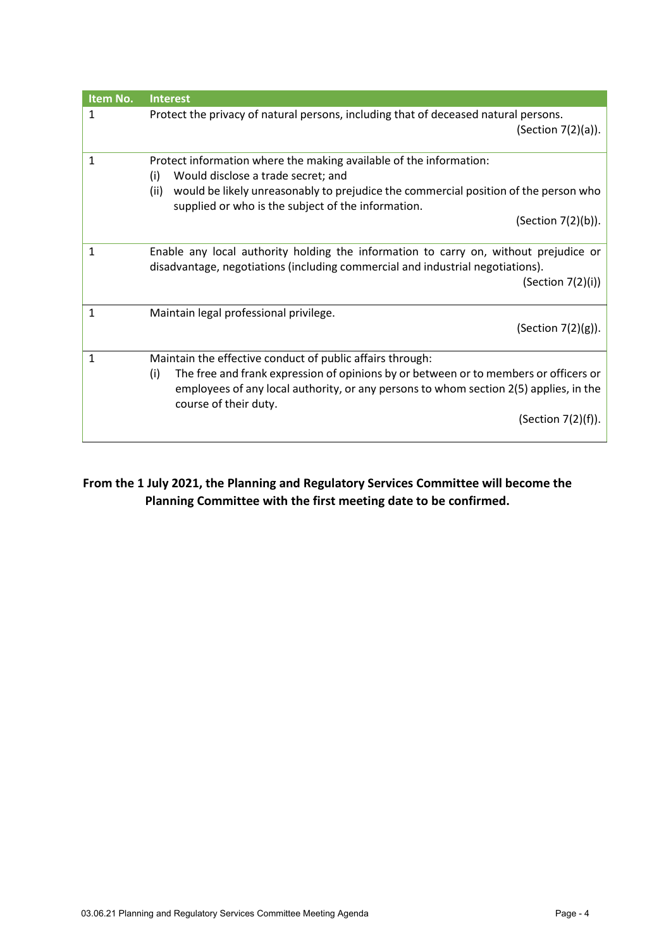| Item No. | <b>Interest</b>                                                                                                                                                                                                                                                                                  |
|----------|--------------------------------------------------------------------------------------------------------------------------------------------------------------------------------------------------------------------------------------------------------------------------------------------------|
| 1        | Protect the privacy of natural persons, including that of deceased natural persons.<br>(Section $7(2)(a)$ ).                                                                                                                                                                                     |
| 1        | Protect information where the making available of the information:<br>Would disclose a trade secret; and<br>(i)<br>would be likely unreasonably to prejudice the commercial position of the person who<br>(ii)<br>supplied or who is the subject of the information.<br>(Section 7(2)(b)).       |
| 1        | Enable any local authority holding the information to carry on, without prejudice or<br>disadvantage, negotiations (including commercial and industrial negotiations).<br>(Section 7(2)(i))                                                                                                      |
| 1        | Maintain legal professional privilege.<br>(Section 7(2)(g)).                                                                                                                                                                                                                                     |
| 1        | Maintain the effective conduct of public affairs through:<br>The free and frank expression of opinions by or between or to members or officers or<br>(i)<br>employees of any local authority, or any persons to whom section 2(5) applies, in the<br>course of their duty.<br>(Section 7(2)(f)). |

## **From the 1 July 2021, the Planning and Regulatory Services Committee will become the Planning Committee with the first meeting date to be confirmed.**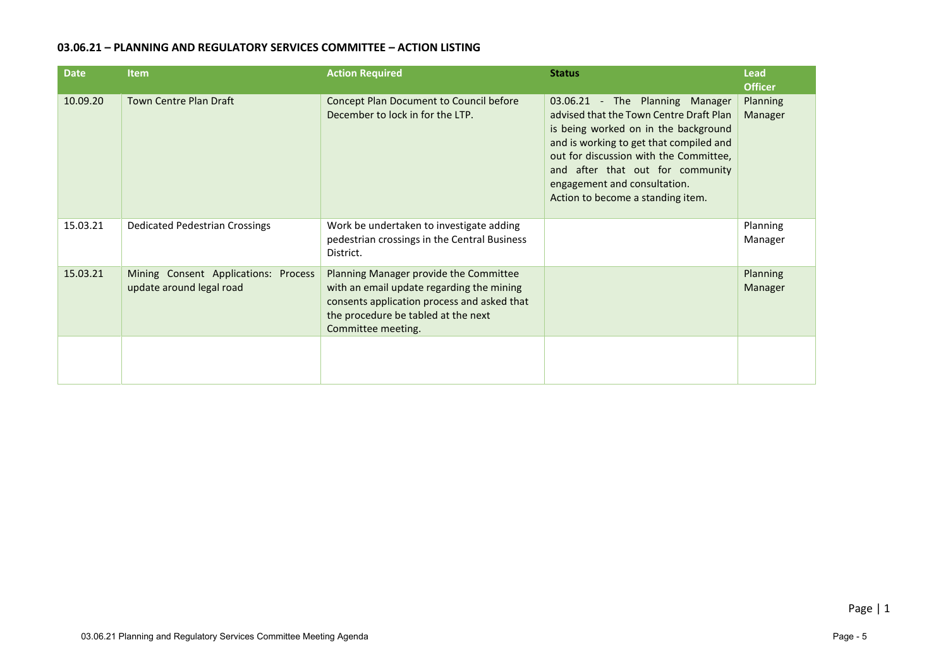#### **03.06.21 – PLANNING AND REGULATORY SERVICES COMMITTEE – ACTION LISTING**

| <b>Date</b> | <b>Item</b>                                                      | <b>Action Required</b>                                                                                                                                                                          | <b>Status</b>                                                                                                                                                                                                                                                                                                    | <b>Lead</b><br><b>Officer</b> |
|-------------|------------------------------------------------------------------|-------------------------------------------------------------------------------------------------------------------------------------------------------------------------------------------------|------------------------------------------------------------------------------------------------------------------------------------------------------------------------------------------------------------------------------------------------------------------------------------------------------------------|-------------------------------|
| 10.09.20    | <b>Town Centre Plan Draft</b>                                    | Concept Plan Document to Council before<br>December to lock in for the LTP.                                                                                                                     | 03.06.21 - The Planning Manager<br>advised that the Town Centre Draft Plan<br>is being worked on in the background<br>and is working to get that compiled and<br>out for discussion with the Committee,<br>and after that out for community<br>engagement and consultation.<br>Action to become a standing item. | Planning<br>Manager           |
| 15.03.21    | Dedicated Pedestrian Crossings                                   | Work be undertaken to investigate adding<br>pedestrian crossings in the Central Business<br>District.                                                                                           |                                                                                                                                                                                                                                                                                                                  | Planning<br>Manager           |
| 15.03.21    | Mining Consent Applications: Process<br>update around legal road | Planning Manager provide the Committee<br>with an email update regarding the mining<br>consents application process and asked that<br>the procedure be tabled at the next<br>Committee meeting. |                                                                                                                                                                                                                                                                                                                  | Planning<br>Manager           |
|             |                                                                  |                                                                                                                                                                                                 |                                                                                                                                                                                                                                                                                                                  |                               |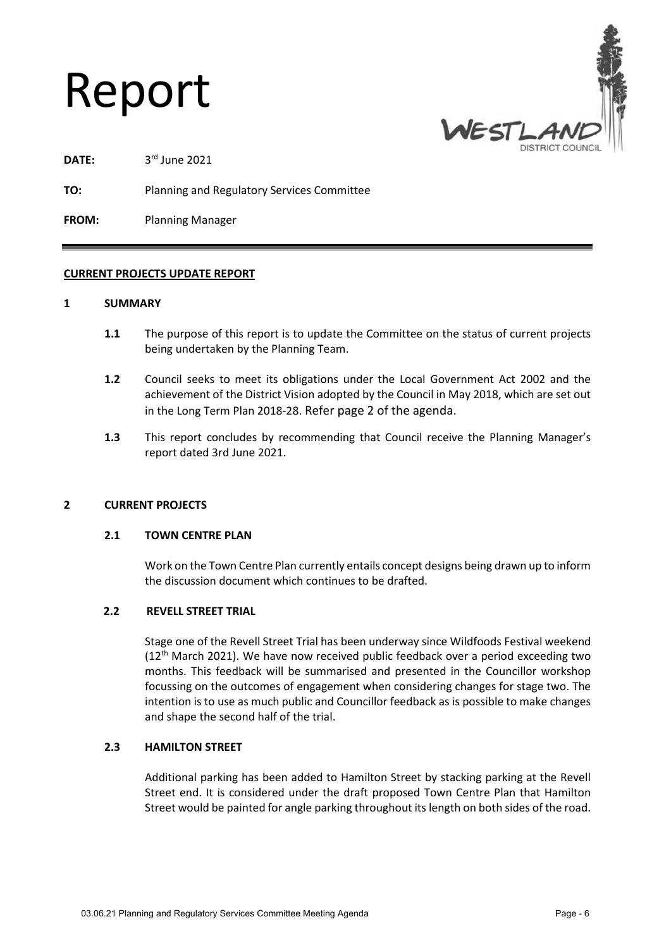# Report



DATE: 3rd June 2021

**TO:** Planning and Regulatory Services Committee

**FROM:** Planning Manager

#### **CURRENT PROJECTS UPDATE REPORT**

#### **1 SUMMARY**

- **1.1** The purpose of this report is to update the Committee on the status of current projects being undertaken by the Planning Team.
- **1.2** Council seeks to meet its obligations under the Local Government Act 2002 and the achievement of the District Vision adopted by the Council in May 2018, which are set out in the Long Term Plan 2018-28. Refer page 2 of the agenda.
- **1.3** This report concludes by recommending that Council receive the Planning Manager's report dated 3rd June 2021.

#### **2 CURRENT PROJECTS**

#### **2.1 TOWN CENTRE PLAN**

Work on the Town Centre Plan currently entails concept designs being drawn up to inform the discussion document which continues to be drafted.

#### **2.2 REVELL STREET TRIAL**

Stage one of the Revell Street Trial has been underway since Wildfoods Festival weekend  $(12<sup>th</sup>$  March 2021). We have now received public feedback over a period exceeding two months. This feedback will be summarised and presented in the Councillor workshop focussing on the outcomes of engagement when considering changes for stage two. The intention is to use as much public and Councillor feedback as is possible to make changes and shape the second half of the trial.

#### **2.3 HAMILTON STREET**

Additional parking has been added to Hamilton Street by stacking parking at the Revell Street end. It is considered under the draft proposed Town Centre Plan that Hamilton Street would be painted for angle parking throughout its length on both sides of the road.